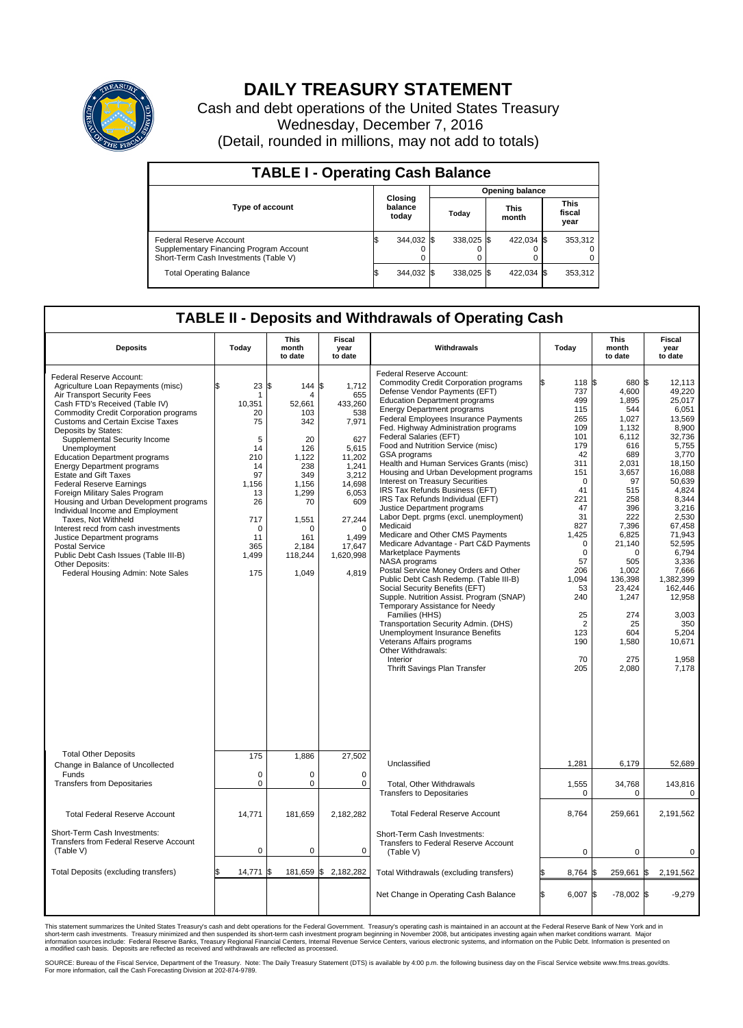

## **DAILY TREASURY STATEMENT**

Cash and debt operations of the United States Treasury Wednesday, December 7, 2016 (Detail, rounded in millions, may not add to totals)

| <b>TABLE I - Operating Cash Balance</b>                                                                     |  |                             |  |                        |  |                      |  |                               |  |  |  |
|-------------------------------------------------------------------------------------------------------------|--|-----------------------------|--|------------------------|--|----------------------|--|-------------------------------|--|--|--|
|                                                                                                             |  |                             |  | <b>Opening balance</b> |  |                      |  |                               |  |  |  |
| <b>Type of account</b>                                                                                      |  | Closing<br>balance<br>today |  | Todav                  |  | <b>This</b><br>month |  | <b>This</b><br>fiscal<br>year |  |  |  |
| Federal Reserve Account<br>Supplementary Financing Program Account<br>Short-Term Cash Investments (Table V) |  | 344,032 \$                  |  | 338.025 \$             |  | 422.034 \$           |  | 353.312                       |  |  |  |
| <b>Total Operating Balance</b>                                                                              |  | 344,032 \$                  |  | 338.025 \$             |  | 422,034 \$           |  | 353,312                       |  |  |  |

## **TABLE II - Deposits and Withdrawals of Operating Cash**

| <b>Deposits</b>                                                                                                                                                                                                                                                                                                                                                                                                                                                                                                                                                                                                                                                                                                                                                                   | Today                                                                                                                                | <b>This</b><br>month<br>to date                                                                                                                        | <b>Fiscal</b><br>year<br>to date                                                                                                                                             | Withdrawals                                                                                                                                                                                                                                                                                                                                                                                                                                                                                                                                                                                                                                                                                                                                                                                                                                                                                                                                                                                                                                                                                                                                                                 | Today                                                                                                                                                                                                                                                        | <b>This</b><br>month<br>to date                                                                                                                                                                                                                                 | <b>Fiscal</b><br>year<br>to date                                                                                                                                                                                                                                                                     |  |
|-----------------------------------------------------------------------------------------------------------------------------------------------------------------------------------------------------------------------------------------------------------------------------------------------------------------------------------------------------------------------------------------------------------------------------------------------------------------------------------------------------------------------------------------------------------------------------------------------------------------------------------------------------------------------------------------------------------------------------------------------------------------------------------|--------------------------------------------------------------------------------------------------------------------------------------|--------------------------------------------------------------------------------------------------------------------------------------------------------|------------------------------------------------------------------------------------------------------------------------------------------------------------------------------|-----------------------------------------------------------------------------------------------------------------------------------------------------------------------------------------------------------------------------------------------------------------------------------------------------------------------------------------------------------------------------------------------------------------------------------------------------------------------------------------------------------------------------------------------------------------------------------------------------------------------------------------------------------------------------------------------------------------------------------------------------------------------------------------------------------------------------------------------------------------------------------------------------------------------------------------------------------------------------------------------------------------------------------------------------------------------------------------------------------------------------------------------------------------------------|--------------------------------------------------------------------------------------------------------------------------------------------------------------------------------------------------------------------------------------------------------------|-----------------------------------------------------------------------------------------------------------------------------------------------------------------------------------------------------------------------------------------------------------------|------------------------------------------------------------------------------------------------------------------------------------------------------------------------------------------------------------------------------------------------------------------------------------------------------|--|
| Federal Reserve Account:<br>Agriculture Loan Repayments (misc)<br>Air Transport Security Fees<br>Cash FTD's Received (Table IV)<br><b>Commodity Credit Corporation programs</b><br><b>Customs and Certain Excise Taxes</b><br>Deposits by States:<br>Supplemental Security Income<br>Unemployment<br><b>Education Department programs</b><br><b>Energy Department programs</b><br><b>Estate and Gift Taxes</b><br><b>Federal Reserve Earnings</b><br>Foreign Military Sales Program<br>Housing and Urban Development programs<br>Individual Income and Employment<br>Taxes. Not Withheld<br>Interest recd from cash investments<br>Justice Department programs<br>Postal Service<br>Public Debt Cash Issues (Table III-B)<br>Other Deposits:<br>Federal Housing Admin: Note Sales | \$<br>23<br>10,351<br>20<br>75<br>5<br>14<br>210<br>14<br>97<br>1,156<br>13<br>26<br>717<br>$\mathbf 0$<br>11<br>365<br>1,499<br>175 | 144S<br>l\$<br>4<br>52,661<br>103<br>342<br>20<br>126<br>1,122<br>238<br>349<br>1,156<br>1,299<br>70<br>1,551<br>n<br>161<br>2,184<br>118,244<br>1,049 | 1,712<br>655<br>433,260<br>538<br>7,971<br>627<br>5.615<br>11,202<br>1.241<br>3,212<br>14,698<br>6,053<br>609<br>27,244<br>$\Omega$<br>1,499<br>17,647<br>1,620,998<br>4,819 | Federal Reserve Account:<br><b>Commodity Credit Corporation programs</b><br>Defense Vendor Payments (EFT)<br><b>Education Department programs</b><br><b>Energy Department programs</b><br><b>Federal Employees Insurance Payments</b><br>Fed. Highway Administration programs<br>Federal Salaries (EFT)<br>Food and Nutrition Service (misc)<br><b>GSA</b> programs<br>Health and Human Services Grants (misc)<br>Housing and Urban Development programs<br>Interest on Treasury Securities<br>IRS Tax Refunds Business (EFT)<br>IRS Tax Refunds Individual (EFT)<br>Justice Department programs<br>Labor Dept. prgms (excl. unemployment)<br>Medicaid<br>Medicare and Other CMS Payments<br>Medicare Advantage - Part C&D Payments<br>Marketplace Payments<br>NASA programs<br>Postal Service Money Orders and Other<br>Public Debt Cash Redemp. (Table III-B)<br>Social Security Benefits (EFT)<br>Supple. Nutrition Assist. Program (SNAP)<br>Temporary Assistance for Needy<br>Families (HHS)<br>Transportation Security Admin. (DHS)<br>Unemployment Insurance Benefits<br>Veterans Affairs programs<br>Other Withdrawals:<br>Interior<br>Thrift Savings Plan Transfer | 118 \$<br>ß<br>737<br>499<br>115<br>265<br>109<br>101<br>179<br>42<br>311<br>151<br>$\mathbf 0$<br>41<br>221<br>47<br>31<br>827<br>1,425<br>$\mathbf 0$<br>$\mathbf 0$<br>57<br>206<br>1,094<br>53<br>240<br>25<br>$\overline{2}$<br>123<br>190<br>70<br>205 | 680 \$<br>4,600<br>1,895<br>544<br>1,027<br>1.132<br>6,112<br>616<br>689<br>2,031<br>3,657<br>97<br>515<br>258<br>396<br>222<br>7,396<br>6,825<br>21,140<br>$\Omega$<br>505<br>1,002<br>136,398<br>23,424<br>1,247<br>274<br>25<br>604<br>1,580<br>275<br>2,080 | 12,113<br>49.220<br>25.017<br>6,051<br>13,569<br>8,900<br>32,736<br>5,755<br>3.770<br>18,150<br>16.088<br>50,639<br>4.824<br>8,344<br>3.216<br>2,530<br>67.458<br>71.943<br>52,595<br>6,794<br>3,336<br>7,666<br>1,382,399<br>162.446<br>12,958<br>3.003<br>350<br>5,204<br>10,671<br>1,958<br>7,178 |  |
| <b>Total Other Deposits</b><br>Change in Balance of Uncollected<br>Funds<br><b>Transfers from Depositaries</b>                                                                                                                                                                                                                                                                                                                                                                                                                                                                                                                                                                                                                                                                    | 175<br>$\mathbf 0$<br>$\mathbf 0$                                                                                                    | 1,886<br>0<br>0                                                                                                                                        | 27,502<br>$\mathbf 0$<br>$\mathbf 0$                                                                                                                                         | Unclassified<br>Total, Other Withdrawals                                                                                                                                                                                                                                                                                                                                                                                                                                                                                                                                                                                                                                                                                                                                                                                                                                                                                                                                                                                                                                                                                                                                    | 1,281<br>1,555                                                                                                                                                                                                                                               | 6,179<br>34,768                                                                                                                                                                                                                                                 | 52.689<br>143,816                                                                                                                                                                                                                                                                                    |  |
| <b>Total Federal Reserve Account</b>                                                                                                                                                                                                                                                                                                                                                                                                                                                                                                                                                                                                                                                                                                                                              | 14.771                                                                                                                               | 181,659                                                                                                                                                | 2,182,282                                                                                                                                                                    | <b>Transfers to Depositaries</b><br><b>Total Federal Reserve Account</b>                                                                                                                                                                                                                                                                                                                                                                                                                                                                                                                                                                                                                                                                                                                                                                                                                                                                                                                                                                                                                                                                                                    | $\mathbf 0$<br>8,764                                                                                                                                                                                                                                         | 0<br>259,661                                                                                                                                                                                                                                                    | 0<br>2,191,562                                                                                                                                                                                                                                                                                       |  |
| Short-Term Cash Investments:<br><b>Transfers from Federal Reserve Account</b><br>(Table V)                                                                                                                                                                                                                                                                                                                                                                                                                                                                                                                                                                                                                                                                                        | $\pmb{0}$                                                                                                                            | $\mathbf 0$                                                                                                                                            | 0                                                                                                                                                                            | Short-Term Cash Investments:<br>Transfers to Federal Reserve Account<br>(Table V)                                                                                                                                                                                                                                                                                                                                                                                                                                                                                                                                                                                                                                                                                                                                                                                                                                                                                                                                                                                                                                                                                           | 0                                                                                                                                                                                                                                                            | 0                                                                                                                                                                                                                                                               | 0                                                                                                                                                                                                                                                                                                    |  |
| Total Deposits (excluding transfers)                                                                                                                                                                                                                                                                                                                                                                                                                                                                                                                                                                                                                                                                                                                                              | 14,771                                                                                                                               | \$                                                                                                                                                     | 181,659 \$2,182,282                                                                                                                                                          | Total Withdrawals (excluding transfers)                                                                                                                                                                                                                                                                                                                                                                                                                                                                                                                                                                                                                                                                                                                                                                                                                                                                                                                                                                                                                                                                                                                                     | \$<br>8,764                                                                                                                                                                                                                                                  | 259,661                                                                                                                                                                                                                                                         | 1\$<br>2,191,562                                                                                                                                                                                                                                                                                     |  |
|                                                                                                                                                                                                                                                                                                                                                                                                                                                                                                                                                                                                                                                                                                                                                                                   |                                                                                                                                      |                                                                                                                                                        |                                                                                                                                                                              | Net Change in Operating Cash Balance                                                                                                                                                                                                                                                                                                                                                                                                                                                                                                                                                                                                                                                                                                                                                                                                                                                                                                                                                                                                                                                                                                                                        | Ŝ.<br>6,007 \$                                                                                                                                                                                                                                               | $-78,002$ \$                                                                                                                                                                                                                                                    | $-9,279$                                                                                                                                                                                                                                                                                             |  |

This statement summarizes the United States Treasury's cash and debt operations for the Federal Government. Treasury's operating cash is maintained in an account at the Federal Reserve Bank of New York and in<br>short-term ca

SOURCE: Bureau of the Fiscal Service, Department of the Treasury. Note: The Daily Treasury Statement (DTS) is available by 4:00 p.m. the following business day on the Fiscal Service website www.fms.treas.gov/dts.<br>For more